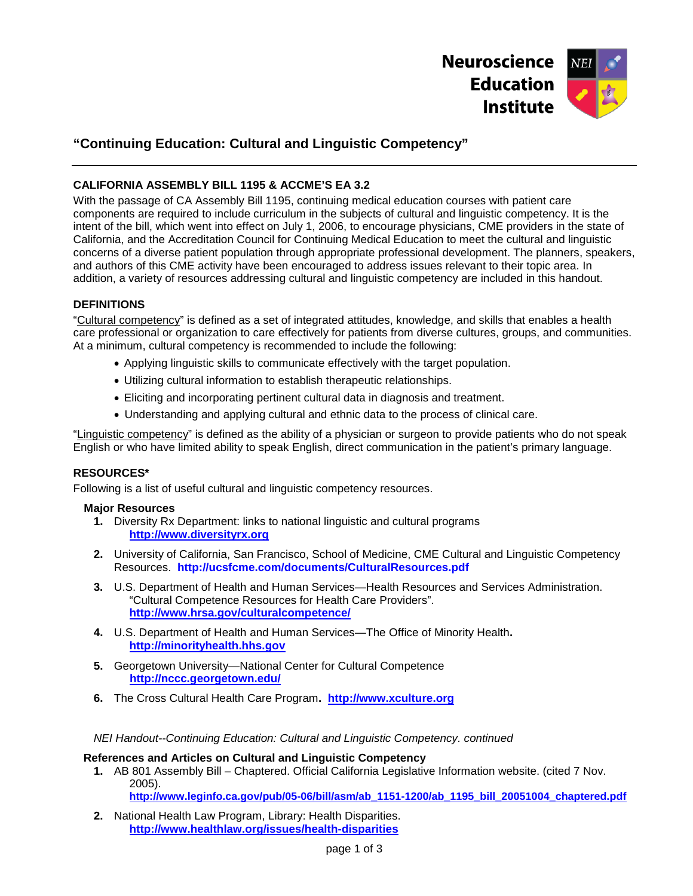

# **"Continuing Education: Cultural and Linguistic Competency"**

# **CALIFORNIA ASSEMBLY BILL 1195 & ACCME'S EA 3.2**

With the passage of CA Assembly Bill 1195, continuing medical education courses with patient care components are required to include curriculum in the subjects of cultural and linguistic competency. It is the intent of the bill, which went into effect on July 1, 2006, to encourage physicians, CME providers in the state of California, and the Accreditation Council for Continuing Medical Education to meet the cultural and linguistic concerns of a diverse patient population through appropriate professional development. The planners, speakers, and authors of this CME activity have been encouraged to address issues relevant to their topic area. In addition, a variety of resources addressing cultural and linguistic competency are included in this handout.

#### **DEFINITIONS**

"Cultural competency" is defined as a set of integrated attitudes, knowledge, and skills that enables a health care professional or organization to care effectively for patients from diverse cultures, groups, and communities. At a minimum, cultural competency is recommended to include the following:

- Applying linguistic skills to communicate effectively with the target population.
- Utilizing cultural information to establish therapeutic relationships.
- Eliciting and incorporating pertinent cultural data in diagnosis and treatment.
- Understanding and applying cultural and ethnic data to the process of clinical care.

"Linguistic competency" is defined as the ability of a physician or surgeon to provide patients who do not speak English or who have limited ability to speak English, direct communication in the patient's primary language.

# **RESOURCES\***

Following is a list of useful cultural and linguistic competency resources.

#### **Major Resources**

- **1.** Diversity Rx Department: links to national linguistic and cultural programs **[http://www.diversityrx.org](http://www.diversityrx.org/)**
- **2.** University of California, San Francisco, School of Medicine, CME Cultural and Linguistic Competency Resources. **http://ucsfcme.com/documents/CulturalResources.pdf**
- **3.** U.S. Department of Health and Human Services—Health Resources and Services Administration. "Cultural Competence Resources for Health Care Providers". **<http://www.hrsa.gov/culturalcompetence/>**
- **4.** U.S. Department of Health and Human Services—The Office of Minority Health**. [http://minorityhealth.hhs.gov](http://minorityhealth.hhs.gov/)**
- **5.** Georgetown University—National Center for Cultural Competence  **<http://nccc.georgetown.edu/>**
- **6.** The Cross Cultural Health Care Program**. [http://www.xculture.org](http://www.xculture.org/)**

#### *NEI Handout--Continuing Education: Cultural and Linguistic Competency. continued*

#### **References and Articles on Cultural and Linguistic Competency**

- **1.** AB 801 Assembly Bill Chaptered. Official California Legislative Information website. (cited 7 Nov. 2005). **[http://www.leginfo.ca.gov/pub/05-06/bill/asm/ab\\_1151-1200/ab\\_1195\\_bill\\_20051004\\_chaptered.pdf](http://www.leginfo.ca.gov/pub/05-06/bill/asm/ab_1151-1200/ab_1195_bill_20051004_chaptered.pdf)**
- **2.** National Health Law Program, Library: Health Disparities. **<http://www.healthlaw.org/issues/health-disparities>**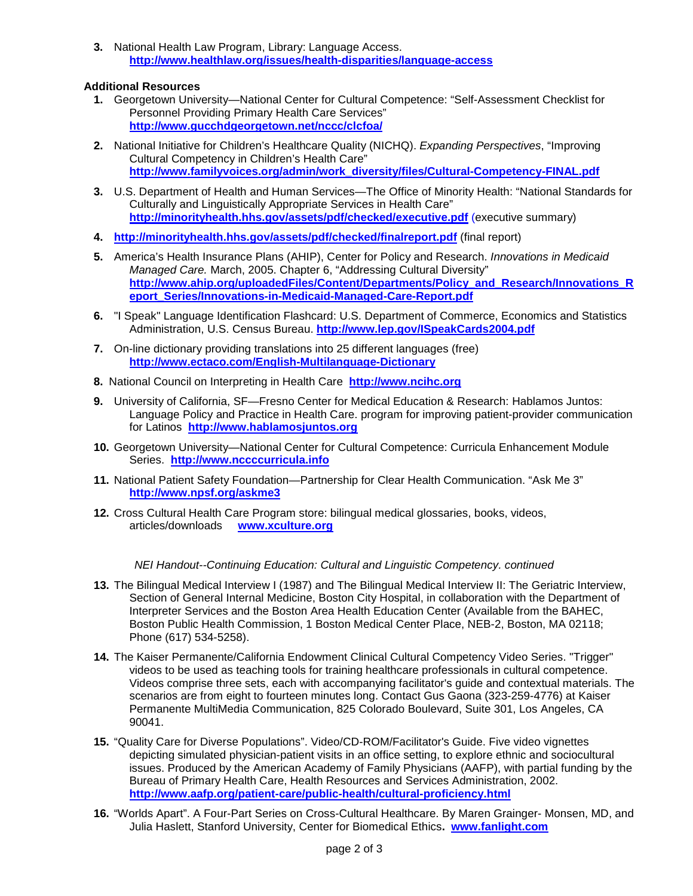**3.** National Health Law Program, Library: Language Access. **<http://www.healthlaw.org/issues/health-disparities/language-access>**

# **Additional Resources**

- **1.** Georgetown University—National Center for Cultural Competence: "Self-Assessment Checklist for Personnel Providing Primary Health Care Services" **<http://www.gucchdgeorgetown.net/nccc/clcfoa/>**
- **2.** National Initiative for Children's Healthcare Quality (NICHQ). *Expanding Perspectives*, "Improving Cultural Competency in Children's Health Care" **[http://www.familyvoices.org/admin/work\\_diversity/files/Cultural-Competency-FINAL.pdf](http://www.familyvoices.org/admin/work_diversity/files/Cultural-Competency-FINAL.pdf)**
- **3.** U.S. Department of Health and Human Services—The Office of Minority Health: "National Standards for Culturally and Linguistically Appropriate Services in Health Care" **<http://minorityhealth.hhs.gov/assets/pdf/checked/executive.pdf>** (executive summary)
- **4. <http://minorityhealth.hhs.gov/assets/pdf/checked/finalreport.pdf>** (final report)
- **5.** America's Health Insurance Plans (AHIP), Center for Policy and Research. *Innovations in Medicaid Managed Care.* March, 2005. Chapter 6, "Addressing Cultural Diversity" **[http://www.ahip.org/uploadedFiles/Content/Departments/Policy\\_and\\_Research/Innovations\\_R](http://www.ahip.org/uploadedFiles/Content/Departments/Policy_and_Research/Innovations_Report_Series/Innovations-in-Medicaid-Managed-Care-Report.pdf) [eport\\_Series/Innovations-in-Medicaid-Managed-Care-Report.pdf](http://www.ahip.org/uploadedFiles/Content/Departments/Policy_and_Research/Innovations_Report_Series/Innovations-in-Medicaid-Managed-Care-Report.pdf)**
- **6.** "I Speak" Language Identification Flashcard: U.S. Department of Commerce, Economics and Statistics Administration, U.S. Census Bureau. **<http://www.lep.gov/ISpeakCards2004.pdf>**
- **7.** On-line dictionary providing translations into 25 different languages (free) **<http://www.ectaco.com/English-Multilanguage-Dictionary>**
- **8.** National Council on Interpreting in Health Care **[http://www.ncihc.org](http://www.ncihc.org/)**
- **9.** University of California, SF—Fresno Center for Medical Education & Research: Hablamos Juntos: Language Policy and Practice in Health Care. program for improving patient-provider communication for Latinos **[http://www.hablamosjuntos.org](http://www.hablamosjuntos.org/)**
- **10.** Georgetown University—National Center for Cultural Competence: Curricula Enhancement Module Series. **[http://www.nccccurricula.info](http://www.nccccurricula.info/)**
- **11.** National Patient Safety Foundation—Partnership for Clear Health Communication. "Ask Me 3" **<http://www.npsf.org/askme3>**
- **12.** Cross Cultural Health Care Program store: bilingual medical glossaries, books, videos, articles/downloads **[www.xculture.org](http://www.xculture.org/)**

# *NEI Handout--Continuing Education: Cultural and Linguistic Competency. continued*

- **13.** The Bilingual Medical Interview I (1987) and The Bilingual Medical Interview II: The Geriatric Interview, Section of General Internal Medicine, Boston City Hospital, in collaboration with the Department of Interpreter Services and the Boston Area Health Education Center (Available from the BAHEC, Boston Public Health Commission, 1 Boston Medical Center Place, NEB-2, Boston, MA 02118; Phone (617) 534-5258).
- **14.** The Kaiser Permanente/California Endowment Clinical Cultural Competency Video Series. "Trigger" videos to be used as teaching tools for training healthcare professionals in cultural competence. Videos comprise three sets, each with accompanying facilitator's guide and contextual materials. The scenarios are from eight to fourteen minutes long. Contact Gus Gaona (323-259-4776) at Kaiser Permanente MultiMedia Communication, 825 Colorado Boulevard, Suite 301, Los Angeles, CA 90041.
- **15.** "Quality Care for Diverse Populations". Video/CD-ROM/Facilitator's Guide. Five video vignettes depicting simulated physician-patient visits in an office setting, to explore ethnic and sociocultural issues. Produced by the American Academy of Family Physicians (AAFP), with partial funding by the Bureau of Primary Health Care, Health Resources and Services Administration, 2002. **<http://www.aafp.org/patient-care/public-health/cultural-proficiency.html>**
- **16.** "Worlds Apart". A Four-Part Series on Cross-Cultural Healthcare. By Maren Grainger- Monsen, MD, and Julia Haslett, Stanford University, Center for Biomedical Ethics**. [www.fanlight.com](http://www.fanlight.com/)**